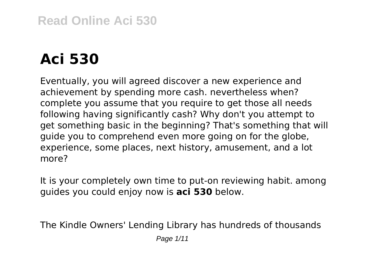# **Read Online Aci 530**

# **Aci 530**

Eventually, you will agreed discover a new experience and achievement by spending more cash. nevertheless when? complete you assume that you require to get those all needs following having significantly cash? Why don't you attempt to get something basic in the beginning? That's something that will guide you to comprehend even more going on for the globe, experience, some places, next history, amusement, and a lot more?

It is your completely own time to put-on reviewing habit. among guides you could enjoy now is **aci 530** below.

The Kindle Owners' Lending Library has hundreds of thousands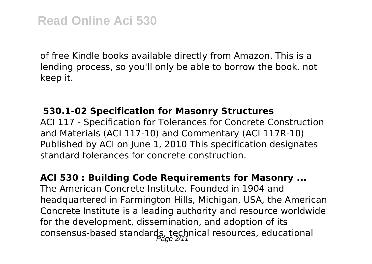of free Kindle books available directly from Amazon. This is a lending process, so you'll only be able to borrow the book, not keep it.

#### **530.1-02 Specification for Masonry Structures**

ACI 117 - Specification for Tolerances for Concrete Construction and Materials (ACI 117-10) and Commentary (ACI 117R-10) Published by ACI on June 1, 2010 This specification designates standard tolerances for concrete construction.

#### **ACI 530 : Building Code Requirements for Masonry ...**

The American Concrete Institute. Founded in 1904 and headquartered in Farmington Hills, Michigan, USA, the American Concrete Institute is a leading authority and resource worldwide for the development, dissemination, and adoption of its consensus-based standards, technical resources, educational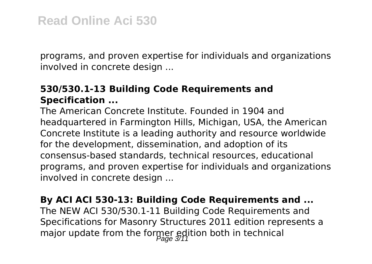programs, and proven expertise for individuals and organizations involved in concrete design ...

#### **530/530.1-13 Building Code Requirements and Specification ...**

The American Concrete Institute. Founded in 1904 and headquartered in Farmington Hills, Michigan, USA, the American Concrete Institute is a leading authority and resource worldwide for the development, dissemination, and adoption of its consensus-based standards, technical resources, educational programs, and proven expertise for individuals and organizations involved in concrete design ...

## **By ACI ACI 530-13: Building Code Requirements and ...**

The NEW ACI 530/530.1-11 Building Code Requirements and Specifications for Masonry Structures 2011 edition represents a major update from the former edition both in technical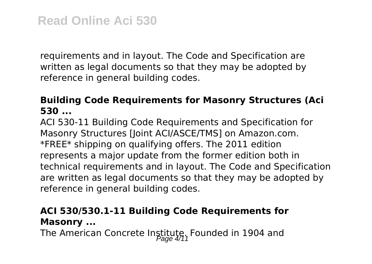requirements and in layout. The Code and Specification are written as legal documents so that they may be adopted by reference in general building codes.

## **Building Code Requirements for Masonry Structures (Aci 530 ...**

ACI 530-11 Building Code Requirements and Specification for Masonry Structures [Joint ACI/ASCE/TMS] on Amazon.com. \*FREE\* shipping on qualifying offers. The 2011 edition represents a major update from the former edition both in technical requirements and in layout. The Code and Specification are written as legal documents so that they may be adopted by reference in general building codes.

# **ACI 530/530.1-11 Building Code Requirements for Masonry ...**

The American Concrete Institute. Founded in 1904 and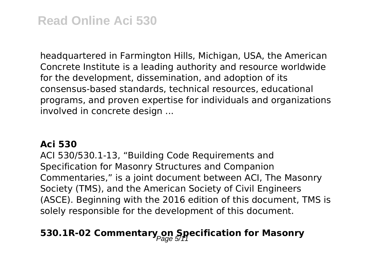headquartered in Farmington Hills, Michigan, USA, the American Concrete Institute is a leading authority and resource worldwide for the development, dissemination, and adoption of its consensus-based standards, technical resources, educational programs, and proven expertise for individuals and organizations involved in concrete design ...

#### **Aci 530**

ACI 530/530.1-13, "Building Code Requirements and Specification for Masonry Structures and Companion Commentaries," is a joint document between ACI, The Masonry Society (TMS), and the American Society of Civil Engineers (ASCE). Beginning with the 2016 edition of this document, TMS is solely responsible for the development of this document.

# **530.1R-02 Commentary on Specification for Masonry**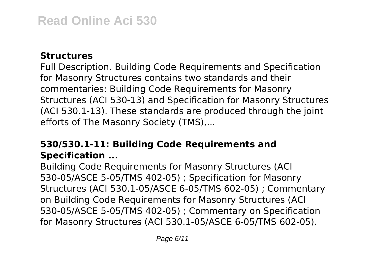#### **Structures**

Full Description. Building Code Requirements and Specification for Masonry Structures contains two standards and their commentaries: Building Code Requirements for Masonry Structures (ACI 530-13) and Specification for Masonry Structures (ACI 530.1-13). These standards are produced through the joint efforts of The Masonry Society (TMS),...

# **530/530.1-11: Building Code Requirements and Specification ...**

Building Code Requirements for Masonry Structures (ACI 530-05/ASCE 5-05/TMS 402-05) ; Specification for Masonry Structures (ACI 530.1-05/ASCE 6-05/TMS 602-05) ; Commentary on Building Code Requirements for Masonry Structures (ACI 530-05/ASCE 5-05/TMS 402-05) ; Commentary on Specification for Masonry Structures (ACI 530.1-05/ASCE 6-05/TMS 602-05).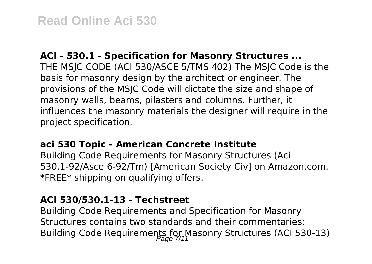#### **ACI - 530.1 - Specification for Masonry Structures ...**

THE MSJC CODE (ACI 530/ASCE 5/TMS 402) The MSJC Code is the basis for masonry design by the architect or engineer. The provisions of the MSJC Code will dictate the size and shape of masonry walls, beams, pilasters and columns. Further, it influences the masonry materials the designer will require in the project specification.

#### **aci 530 Topic - American Concrete Institute**

Building Code Requirements for Masonry Structures (Aci 530.1-92/Asce 6-92/Tm) [American Society Civ] on Amazon.com. \*FREE\* shipping on qualifying offers.

#### **ACI 530/530.1-13 - Techstreet**

Building Code Requirements and Specification for Masonry Structures contains two standards and their commentaries: Building Code Requirements for Masonry Structures (ACI 530-13)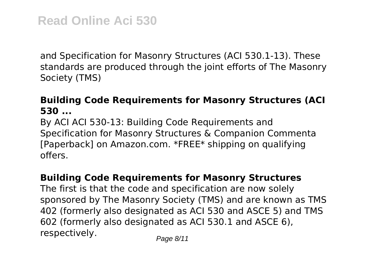and Specification for Masonry Structures (ACI 530.1-13). These standards are produced through the joint efforts of The Masonry Society (TMS)

#### **Building Code Requirements for Masonry Structures (ACI 530 ...**

By ACI ACI 530-13: Building Code Requirements and Specification for Masonry Structures & Companion Commenta [Paperback] on Amazon.com. \*FREE\* shipping on qualifying offers.

#### **Building Code Requirements for Masonry Structures**

The first is that the code and specification are now solely sponsored by The Masonry Society (TMS) and are known as TMS 402 (formerly also designated as ACI 530 and ASCE 5) and TMS 602 (formerly also designated as ACI 530.1 and ASCE 6), respectively. Page 8/11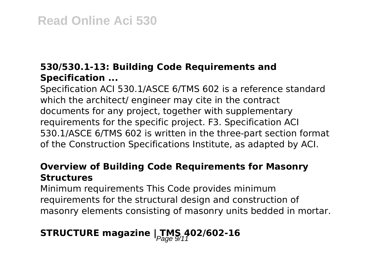# **530/530.1-13: Building Code Requirements and Specification ...**

Specification ACI 530.1/ASCE 6/TMS 602 is a reference standard which the architect/ engineer may cite in the contract documents for any project, together with supplementary requirements for the specific project. F3. Specification ACI 530.1/ASCE 6/TMS 602 is written in the three-part section format of the Construction Specifications Institute, as adapted by ACI.

## **Overview of Building Code Requirements for Masonry Structures**

Minimum requirements This Code provides minimum requirements for the structural design and construction of masonry elements consisting of masonry units bedded in mortar.

# **STRUCTURE magazine**  $\frac{1}{2}$  **TMS 402/602-16**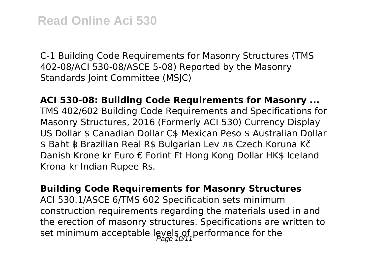C-1 Building Code Requirements for Masonry Structures (TMS 402-08/ACI 530-08/ASCE 5-08) Reported by the Masonry Standards Joint Committee (MSJC)

**ACI 530-08: Building Code Requirements for Masonry ...** TMS 402/602 Building Code Requirements and Specifications for Masonry Structures, 2016 (Formerly ACI 530) Currency Display US Dollar \$ Canadian Dollar C\$ Mexican Peso \$ Australian Dollar \$ Baht ฿ Brazilian Real R\$ Bulgarian Lev лв Czech Koruna Kč Danish Krone kr Euro € Forint Ft Hong Kong Dollar HK\$ Iceland Krona kr Indian Rupee Rs.

**Building Code Requirements for Masonry Structures** ACI 530.1/ASCE 6/TMS 602 Specification sets minimum construction requirements regarding the materials used in and the erection of masonry structures. Specifications are written to set minimum acceptable levels of performance for the